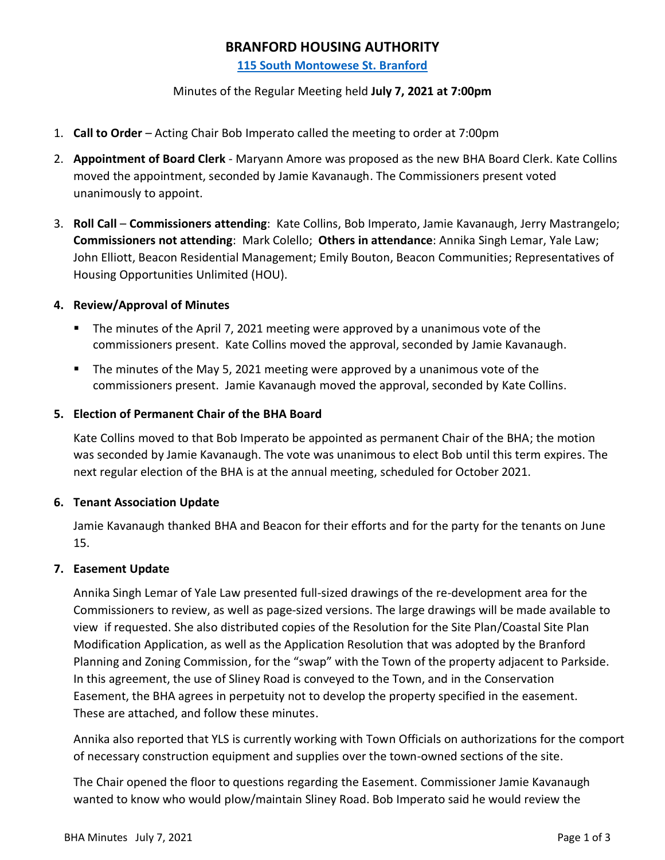# **BRANFORD HOUSING AUTHORITY**

**[115 South Montowese St. Branford](https://d.docs.live.net/6051fc49851030e9/3.%20Branford%20Housing%20Authority/Final%20BHA%20Agenda%20-%20July%207%5eJ%202021.docx)**

## Minutes of the Regular Meeting held **July 7, 2021 at 7:00pm**

- 1. **Call to Order** Acting Chair Bob Imperato called the meeting to order at 7:00pm
- 2. **Appointment of Board Clerk** Maryann Amore was proposed as the new BHA Board Clerk. Kate Collins moved the appointment, seconded by Jamie Kavanaugh. The Commissioners present voted unanimously to appoint.
- 3. **Roll Call Commissioners attending**: Kate Collins, Bob Imperato, Jamie Kavanaugh, Jerry Mastrangelo; **Commissioners not attending**: Mark Colello; **Others in attendance**: Annika Singh Lemar, Yale Law; John Elliott, Beacon Residential Management; Emily Bouton, Beacon Communities; Representatives of Housing Opportunities Unlimited (HOU).

# **4. Review/Approval of Minutes**

- The minutes of the April 7, 2021 meeting were approved by a unanimous vote of the commissioners present. Kate Collins moved the approval, seconded by Jamie Kavanaugh.
- The minutes of the May 5, 2021 meeting were approved by a unanimous vote of the commissioners present. Jamie Kavanaugh moved the approval, seconded by Kate Collins.

# **5. Election of Permanent Chair of the BHA Board**

Kate Collins moved to that Bob Imperato be appointed as permanent Chair of the BHA; the motion was seconded by Jamie Kavanaugh. The vote was unanimous to elect Bob until this term expires. The next regular election of the BHA is at the annual meeting, scheduled for October 2021.

## **6. Tenant Association Update**

Jamie Kavanaugh thanked BHA and Beacon for their efforts and for the party for the tenants on June 15.

## **7. Easement Update**

Annika Singh Lemar of Yale Law presented full-sized drawings of the re-development area for the Commissioners to review, as well as page-sized versions. The large drawings will be made available to view if requested. She also distributed copies of the Resolution for the Site Plan/Coastal Site Plan Modification Application, as well as the Application Resolution that was adopted by the Branford Planning and Zoning Commission, for the "swap" with the Town of the property adjacent to Parkside. In this agreement, the use of Sliney Road is conveyed to the Town, and in the Conservation Easement, the BHA agrees in perpetuity not to develop the property specified in the easement. These are attached, and follow these minutes.

Annika also reported that YLS is currently working with Town Officials on authorizations for the comport of necessary construction equipment and supplies over the town-owned sections of the site.

The Chair opened the floor to questions regarding the Easement. Commissioner Jamie Kavanaugh wanted to know who would plow/maintain Sliney Road. Bob Imperato said he would review the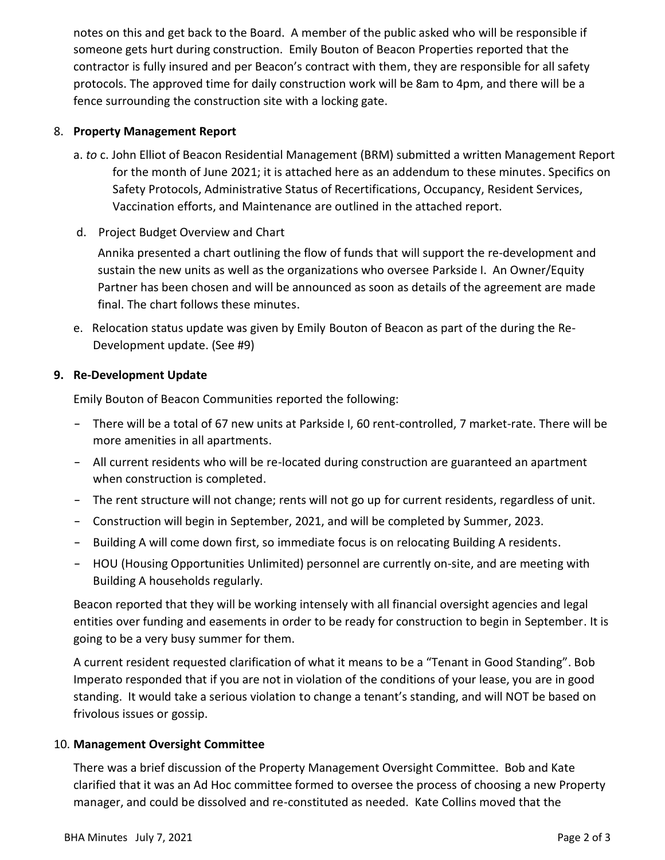notes on this and get back to the Board. A member of the public asked who will be responsible if someone gets hurt during construction. Emily Bouton of Beacon Properties reported that the contractor is fully insured and per Beacon's contract with them, they are responsible for all safety protocols. The approved time for daily construction work will be 8am to 4pm, and there will be a fence surrounding the construction site with a locking gate.

# 8. **Property Management Report**

- a. *to* c. John Elliot of Beacon Residential Management (BRM) submitted a written Management Report for the month of June 2021; it is attached here as an addendum to these minutes. Specifics on Safety Protocols, Administrative Status of Recertifications, Occupancy, Resident Services, Vaccination efforts, and Maintenance are outlined in the attached report.
- d. Project Budget Overview and Chart

Annika presented a chart outlining the flow of funds that will support the re-development and sustain the new units as well as the organizations who oversee Parkside I. An Owner/Equity Partner has been chosen and will be announced as soon as details of the agreement are made final. The chart follows these minutes.

e. Relocation status update was given by Emily Bouton of Beacon as part of the during the Re-Development update. (See #9)

# **9. Re-Development Update**

Emily Bouton of Beacon Communities reported the following:

- There will be a total of 67 new units at Parkside I, 60 rent-controlled, 7 market-rate. There will be more amenities in all apartments.
- All current residents who will be re-located during construction are guaranteed an apartment when construction is completed.
- The rent structure will not change; rents will not go up for current residents, regardless of unit.
- Construction will begin in September, 2021, and will be completed by Summer, 2023.
- Building A will come down first, so immediate focus is on relocating Building A residents.
- HOU (Housing Opportunities Unlimited) personnel are currently on-site, and are meeting with Building A households regularly.

Beacon reported that they will be working intensely with all financial oversight agencies and legal entities over funding and easements in order to be ready for construction to begin in September. It is going to be a very busy summer for them.

A current resident requested clarification of what it means to be a "Tenant in Good Standing". Bob Imperato responded that if you are not in violation of the conditions of your lease, you are in good standing. It would take a serious violation to change a tenant's standing, and will NOT be based on frivolous issues or gossip.

# 10. **Management Oversight Committee**

There was a brief discussion of the Property Management Oversight Committee. Bob and Kate clarified that it was an Ad Hoc committee formed to oversee the process of choosing a new Property manager, and could be dissolved and re-constituted as needed. Kate Collins moved that the